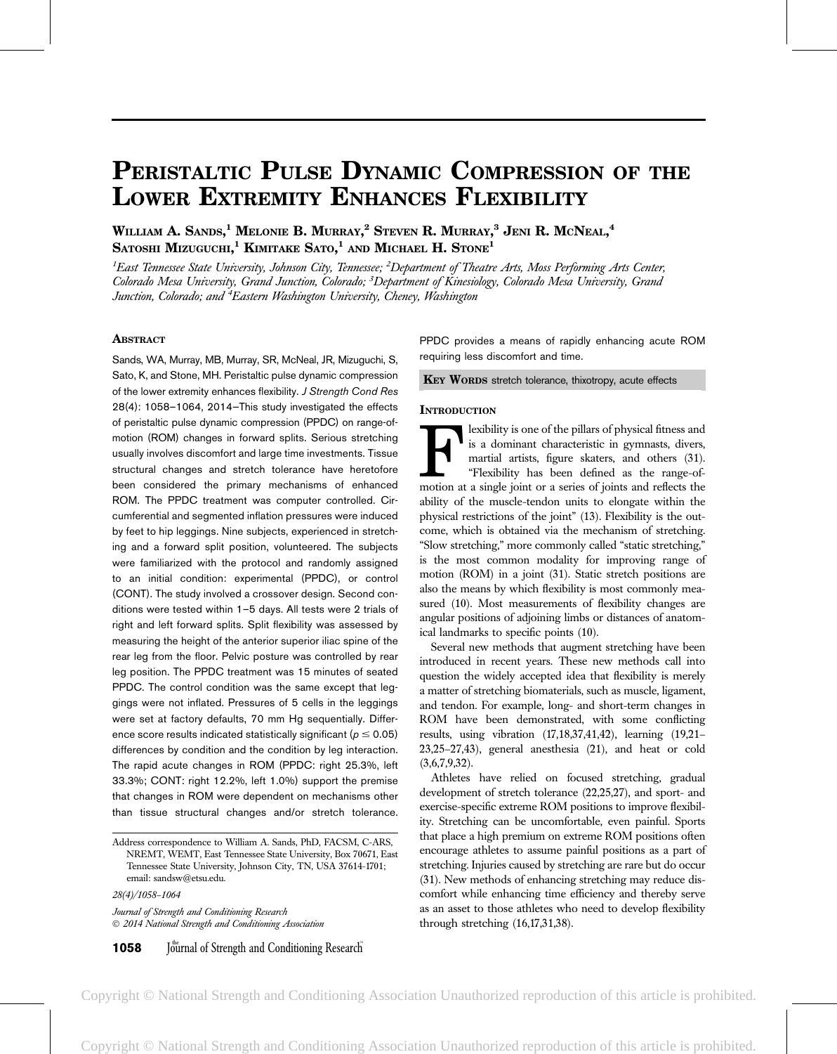# PERISTALTIC PULSE DYNAMIC COMPRESSION OF THE LOWER EXTREMITY ENHANCES FLEXIBILITY

WILLIAM A. SANDS, $^1$  Melonie B. Murray, $^2$  Steven R. Murray, $^3$  Jeni R. McNeal, $^4$ SATOSHI MIZUGUCHI, $^1$  KIMITAKE SATO, $^1$  and Michael H. Stone<sup>1</sup>

<sup>1</sup>East Tennessee State University, Johnson City, Tennessee; <sup>2</sup>Department of Theatre Arts, Moss Performing Arts Center, Colorado Mesa University, Grand Junction, Colorado; <sup>3</sup>Department of Kinesiology, Colorado Mesa University, Grand Junction, Colorado; and <sup>4</sup>Eastern Washington University, Cheney, Washington

## **ABSTRACT**

Sands, WA, Murray, MB, Murray, SR, McNeal, JR, Mizuguchi, S, Sato, K, and Stone, MH. Peristaltic pulse dynamic compression of the lower extremity enhances flexibility. J Strength Cond Res 28(4): 1058–1064, 2014—This study investigated the effects of peristaltic pulse dynamic compression (PPDC) on range-ofmotion (ROM) changes in forward splits. Serious stretching usually involves discomfort and large time investments. Tissue structural changes and stretch tolerance have heretofore been considered the primary mechanisms of enhanced ROM. The PPDC treatment was computer controlled. Circumferential and segmented inflation pressures were induced by feet to hip leggings. Nine subjects, experienced in stretching and a forward split position, volunteered. The subjects were familiarized with the protocol and randomly assigned to an initial condition: experimental (PPDC), or control (CONT). The study involved a crossover design. Second conditions were tested within 1–5 days. All tests were 2 trials of right and left forward splits. Split flexibility was assessed by measuring the height of the anterior superior iliac spine of the rear leg from the floor. Pelvic posture was controlled by rear leg position. The PPDC treatment was 15 minutes of seated PPDC. The control condition was the same except that leggings were not inflated. Pressures of 5 cells in the leggings were set at factory defaults, 70 mm Hg sequentially. Difference score results indicated statistically significant ( $p \le 0.05$ ) differences by condition and the condition by leg interaction. The rapid acute changes in ROM (PPDC: right 25.3%, left 33.3%; CONT: right 12.2%, left 1.0%) support the premise that changes in ROM were dependent on mechanisms other than tissue structural changes and/or stretch tolerance.

28(4)/1058–1064

Journal of Strength and Conditioning Research 2014 National Strength and Conditioning Association PPDC provides a means of rapidly enhancing acute ROM requiring less discomfort and time.

## KEY WORDS stretch tolerance, thixotropy, acute effects

## **INTRODUCTION**

Flexibility is one of the pillars of physical fitness and<br>is a dominant characteristic in gymnasts, divers,<br>martial artists, figure skaters, and others (31).<br>"Flexibility has been defined as the range-of-<br>motion at a singl is a dominant characteristic in gymnasts, divers, martial artists, figure skaters, and others (31). "Flexibility has been defined as the range-ofability of the muscle-tendon units to elongate within the physical restrictions of the joint" (13). Flexibility is the outcome, which is obtained via the mechanism of stretching. "Slow stretching," more commonly called "static stretching," is the most common modality for improving range of motion (ROM) in a joint (31). Static stretch positions are also the means by which flexibility is most commonly measured (10). Most measurements of flexibility changes are angular positions of adjoining limbs or distances of anatomical landmarks to specific points (10).

Several new methods that augment stretching have been introduced in recent years. These new methods call into question the widely accepted idea that flexibility is merely a matter of stretching biomaterials, such as muscle, ligament, and tendon. For example, long- and short-term changes in ROM have been demonstrated, with some conflicting results, using vibration (17,18,37,41,42), learning (19,21– 23,25–27,43), general anesthesia (21), and heat or cold (3,6,7,9,32).

Athletes have relied on focused stretching, gradual development of stretch tolerance (22,25,27), and sport- and exercise-specific extreme ROM positions to improve flexibility. Stretching can be uncomfortable, even painful. Sports that place a high premium on extreme ROM positions often encourage athletes to assume painful positions as a part of stretching. Injuries caused by stretching are rare but do occur (31). New methods of enhancing stretching may reduce discomfort while enhancing time efficiency and thereby serve as an asset to those athletes who need to develop flexibility through stretching (16,17,31,38).

Address correspondence to William A. Sands, PhD, FACSM, C-ARS, NREMT, WEMT, East Tennessee State University, Box 70671, East Tennessee State University, Johnson City, TN, USA 37614-1701; email: sandsw@etsu.edu.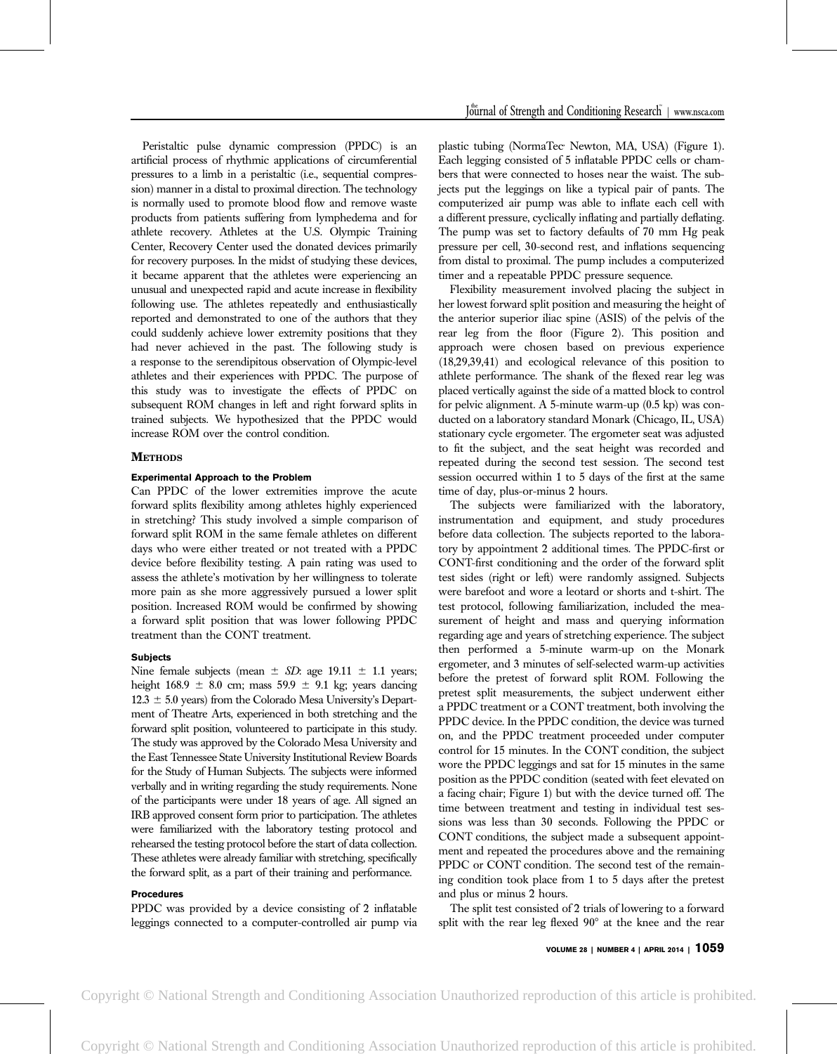Peristaltic pulse dynamic compression (PPDC) is an artificial process of rhythmic applications of circumferential pressures to a limb in a peristaltic (i.e., sequential compression) manner in a distal to proximal direction. The technology is normally used to promote blood flow and remove waste products from patients suffering from lymphedema and for athlete recovery. Athletes at the U.S. Olympic Training Center, Recovery Center used the donated devices primarily for recovery purposes. In the midst of studying these devices, it became apparent that the athletes were experiencing an unusual and unexpected rapid and acute increase in flexibility following use. The athletes repeatedly and enthusiastically reported and demonstrated to one of the authors that they could suddenly achieve lower extremity positions that they had never achieved in the past. The following study is a response to the serendipitous observation of Olympic-level athletes and their experiences with PPDC. The purpose of this study was to investigate the effects of PPDC on subsequent ROM changes in left and right forward splits in trained subjects. We hypothesized that the PPDC would increase ROM over the control condition.

## **METHODS**

## Experimental Approach to the Problem

Can PPDC of the lower extremities improve the acute forward splits flexibility among athletes highly experienced in stretching? This study involved a simple comparison of forward split ROM in the same female athletes on different days who were either treated or not treated with a PPDC device before flexibility testing. A pain rating was used to assess the athlete's motivation by her willingness to tolerate more pain as she more aggressively pursued a lower split position. Increased ROM would be confirmed by showing a forward split position that was lower following PPDC treatment than the CONT treatment.

## **Subjects**

Nine female subjects (mean  $\pm$  SD: age 19.11  $\pm$  1.1 years; height 168.9  $\pm$  8.0 cm; mass 59.9  $\pm$  9.1 kg; years dancing  $12.3 \pm 5.0$  years) from the Colorado Mesa University's Department of Theatre Arts, experienced in both stretching and the forward split position, volunteered to participate in this study. The study was approved by the Colorado Mesa University and the East Tennessee State University Institutional Review Boards for the Study of Human Subjects. The subjects were informed verbally and in writing regarding the study requirements. None of the participants were under 18 years of age. All signed an IRB approved consent form prior to participation. The athletes were familiarized with the laboratory testing protocol and rehearsed the testing protocol before the start of data collection. These athletes were already familiar with stretching, specifically the forward split, as a part of their training and performance.

## Procedures

PPDC was provided by a device consisting of 2 inflatable leggings connected to a computer-controlled air pump via

plastic tubing (NormaTec<sup>,</sup> Newton, MA, USA) (Figure 1). Each legging consisted of 5 inflatable PPDC cells or chambers that were connected to hoses near the waist. The subjects put the leggings on like a typical pair of pants. The computerized air pump was able to inflate each cell with a different pressure, cyclically inflating and partially deflating. The pump was set to factory defaults of 70 mm Hg peak pressure per cell, 30-second rest, and inflations sequencing from distal to proximal. The pump includes a computerized timer and a repeatable PPDC pressure sequence.

Flexibility measurement involved placing the subject in her lowest forward split position and measuring the height of the anterior superior iliac spine (ASIS) of the pelvis of the rear leg from the floor (Figure 2). This position and approach were chosen based on previous experience (18,29,39,41) and ecological relevance of this position to athlete performance. The shank of the flexed rear leg was placed vertically against the side of a matted block to control for pelvic alignment. A 5-minute warm-up (0.5 kp) was conducted on a laboratory standard Monark (Chicago, IL, USA) stationary cycle ergometer. The ergometer seat was adjusted to fit the subject, and the seat height was recorded and repeated during the second test session. The second test session occurred within 1 to 5 days of the first at the same time of day, plus-or-minus 2 hours.

The subjects were familiarized with the laboratory, instrumentation and equipment, and study procedures before data collection. The subjects reported to the laboratory by appointment 2 additional times. The PPDC-first or CONT-first conditioning and the order of the forward split test sides (right or left) were randomly assigned. Subjects were barefoot and wore a leotard or shorts and t-shirt. The test protocol, following familiarization, included the measurement of height and mass and querying information regarding age and years of stretching experience. The subject then performed a 5-minute warm-up on the Monark ergometer, and 3 minutes of self-selected warm-up activities before the pretest of forward split ROM. Following the pretest split measurements, the subject underwent either a PPDC treatment or a CONT treatment, both involving the PPDC device. In the PPDC condition, the device was turned on, and the PPDC treatment proceeded under computer control for 15 minutes. In the CONT condition, the subject wore the PPDC leggings and sat for 15 minutes in the same position as the PPDC condition (seated with feet elevated on a facing chair; Figure 1) but with the device turned off. The time between treatment and testing in individual test sessions was less than 30 seconds. Following the PPDC or CONT conditions, the subject made a subsequent appointment and repeated the procedures above and the remaining PPDC or CONT condition. The second test of the remaining condition took place from 1 to 5 days after the pretest and plus or minus 2 hours.

The split test consisted of 2 trials of lowering to a forward split with the rear leg flexed  $90^\circ$  at the knee and the rear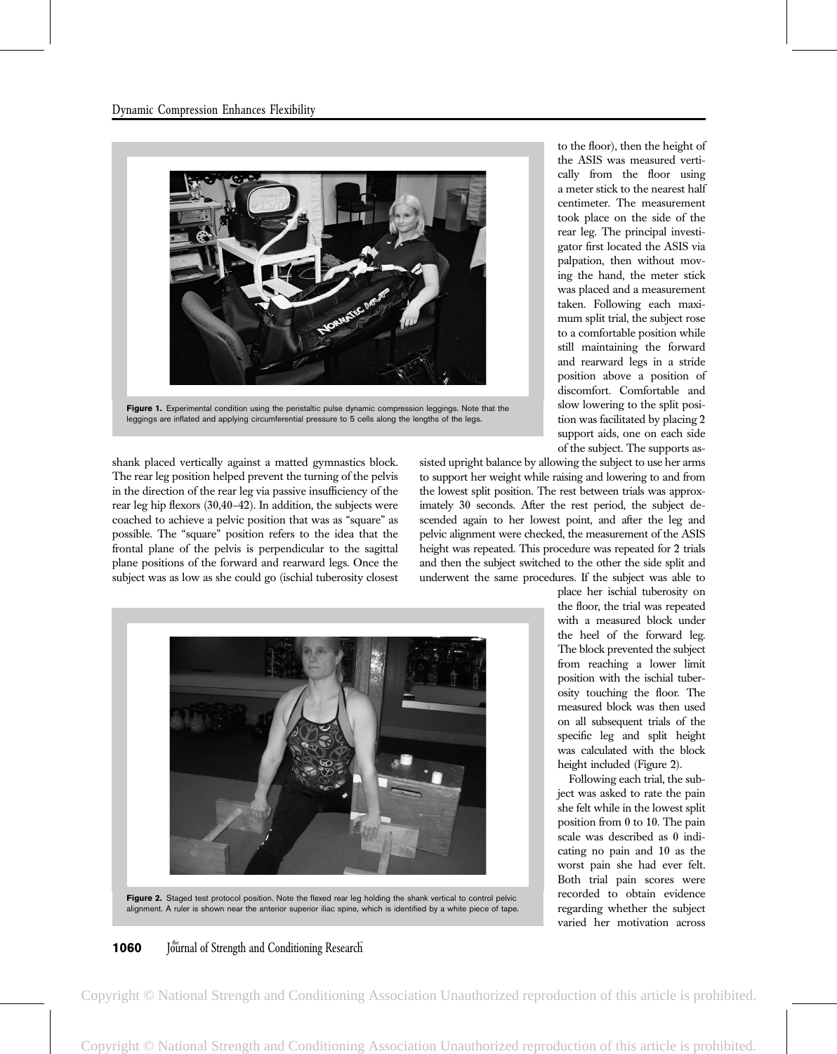

Figure 1. Experimental condition using the peristaltic pulse dynamic compression leggings. Note that the leggings are inflated and applying circumferential pressure to 5 cells along the lengths of the legs.

shank placed vertically against a matted gymnastics block. The rear leg position helped prevent the turning of the pelvis in the direction of the rear leg via passive insufficiency of the rear leg hip flexors (30,40–42). In addition, the subjects were coached to achieve a pelvic position that was as "square" as possible. The "square" position refers to the idea that the frontal plane of the pelvis is perpendicular to the sagittal plane positions of the forward and rearward legs. Once the subject was as low as she could go (ischial tuberosity closest

to the floor), then the height of the ASIS was measured vertically from the floor using a meter stick to the nearest half centimeter. The measurement took place on the side of the rear leg. The principal investigator first located the ASIS via palpation, then without moving the hand, the meter stick was placed and a measurement taken. Following each maximum split trial, the subject rose to a comfortable position while still maintaining the forward and rearward legs in a stride position above a position of discomfort. Comfortable and slow lowering to the split position was facilitated by placing 2 support aids, one on each side of the subject. The supports as-

sisted upright balance by allowing the subject to use her arms to support her weight while raising and lowering to and from the lowest split position. The rest between trials was approximately 30 seconds. After the rest period, the subject descended again to her lowest point, and after the leg and pelvic alignment were checked, the measurement of the ASIS height was repeated. This procedure was repeated for 2 trials and then the subject switched to the other the side split and underwent the same procedures. If the subject was able to



Figure 2. Staged test protocol position. Note the flexed rear leg holding the shank vertical to control pelvic alignment. A ruler is shown near the anterior superior iliac spine, which is identified by a white piece of tape.

place her ischial tuberosity on the floor, the trial was repeated with a measured block under the heel of the forward leg. The block prevented the subject from reaching a lower limit position with the ischial tuberosity touching the floor. The measured block was then used on all subsequent trials of the specific leg and split height was calculated with the block height included (Figure 2).

Following each trial, the subject was asked to rate the pain she felt while in the lowest split position from 0 to 10. The pain scale was described as 0 indicating no pain and 10 as the worst pain she had ever felt. Both trial pain scores were recorded to obtain evidence regarding whether the subject varied her motivation across

## **1060** Journal of Strength and Conditioning Research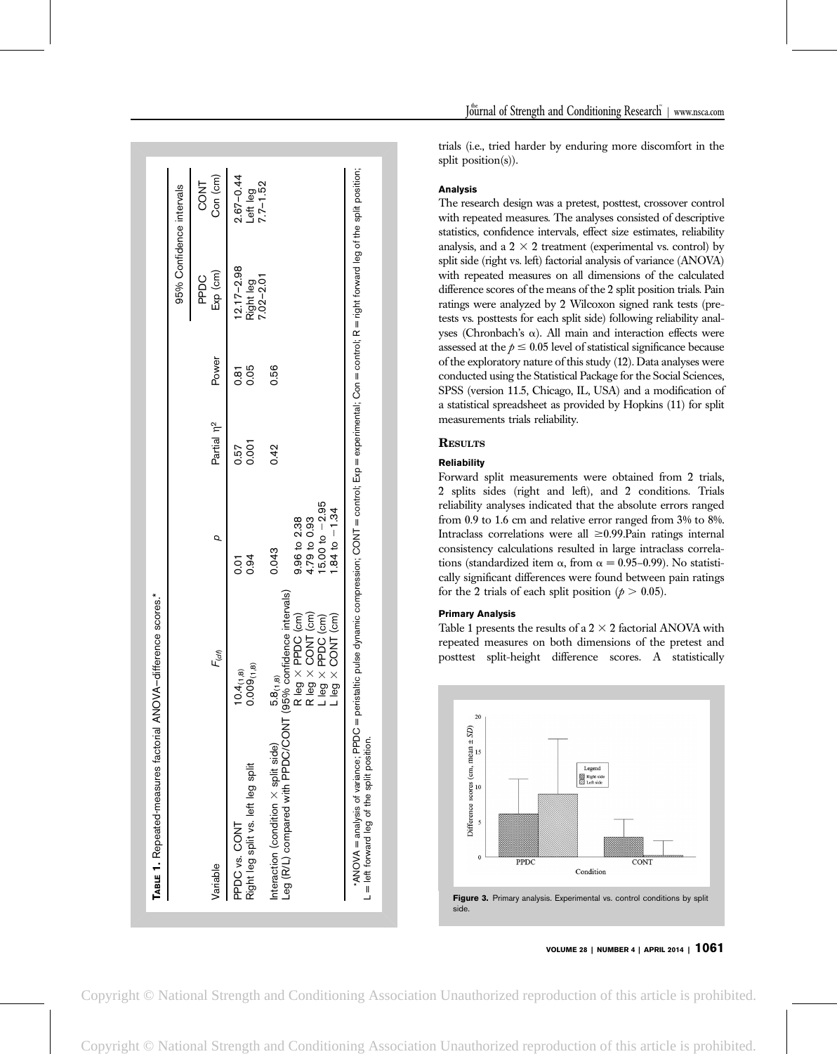|                                                                                                             |                                                                                                                                  |                                                                    |                  |              | 95% Confidence intervals                 |                                       |
|-------------------------------------------------------------------------------------------------------------|----------------------------------------------------------------------------------------------------------------------------------|--------------------------------------------------------------------|------------------|--------------|------------------------------------------|---------------------------------------|
| Variable                                                                                                    | $F_{(df)}$                                                                                                                       | Q                                                                  | Partial $\eta^2$ | Power        | Exp (cm)<br>PPDC                         | Con (cm)<br>CONT                      |
| Right leg split vs. left leg split<br>PPDC vs. CONT                                                         | $0.009_{(1,8)}$<br>$10.4_{(1,8)}$                                                                                                | 0.94<br>0.01                                                       | 0.001<br>0.57    | 0.05<br>0.81 | $12.17 - 2.98$<br>Right leg<br>7.02-2.01 | $2.67 - 0.44$<br>Left leg<br>7.7-1.52 |
| Leg (R/L) compared with PPDC/CONT (95% confidence intervals)<br>Interaction (condition $\times$ split side) | $5.8_{(1,8)}$                                                                                                                    | 0.043                                                              | 0.42             | 0.56         |                                          |                                       |
|                                                                                                             | $\times$ CONT (cm)<br>$\times$ PPDC (cm)<br>$\times$ CONT (cm)<br>$\times$ PPDC (cm)<br>R leg<br>R leg<br><b>Del</b><br>Del<br>T | $15.00 to -2.95$<br>$.84 to -1.34$<br>9.96 to 2.38<br>4.79 to 0.93 |                  |              |                                          |                                       |

trials (i.e., tried harder by enduring more discomfort in the split position(s)).

## Analysis

The research design was a pretest, posttest, crossover control with repeated measures. The analyses consisted of descriptive statistics, confidence intervals, effect size estimates, reliability analysis, and a  $2 \times 2$  treatment (experimental vs. control) by split side (right vs. left) factorial analysis of variance (ANOVA) with repeated measures on all dimensions of the calculated difference scores of the means of the 2 split position trials. Pain ratings were analyzed by 2 Wilcoxon signed rank tests (pretests vs. posttests for each split side) following reliability analyses (Chronbach's  $\alpha$ ). All main and interaction effects were assessed at the  $p \leq 0.05$  level of statistical significance because of the exploratory nature of this study (12). Data analyses were conducted using the Statistical Package for the Social Sciences, SPSS (version 11.5, Chicago, IL, USA) and a modification of a statistical spreadsheet as provided by Hopkins (11) for split measurements trials reliability.

## **RESULTS**

## **Reliability**

Forward split measurements were obtained from 2 trials, 2 splits sides (right and left), and 2 conditions. Trials reliability analyses indicated that the absolute errors ranged from 0.9 to 1.6 cm and relative error ranged from 3% to 8%. Intraclass correlations were all  $\geq$ 0.99.Pain ratings internal consistency calculations resulted in large intraclass correlations (standardized item  $\alpha$ , from  $\alpha = 0.95{\text -}0.99$ ). No statistically significant differences were found between pain ratings for the 2 trials of each split position ( $p > 0.05$ ).

## Primary Analysis

Table 1 presents the results of a  $2 \times 2$  factorial ANOVA with repeated measures on both dimensions of the pretest and posttest split-height difference scores. A statistically



VOLUME 28 | NUMBER 4 | APRIL 2014 | 1061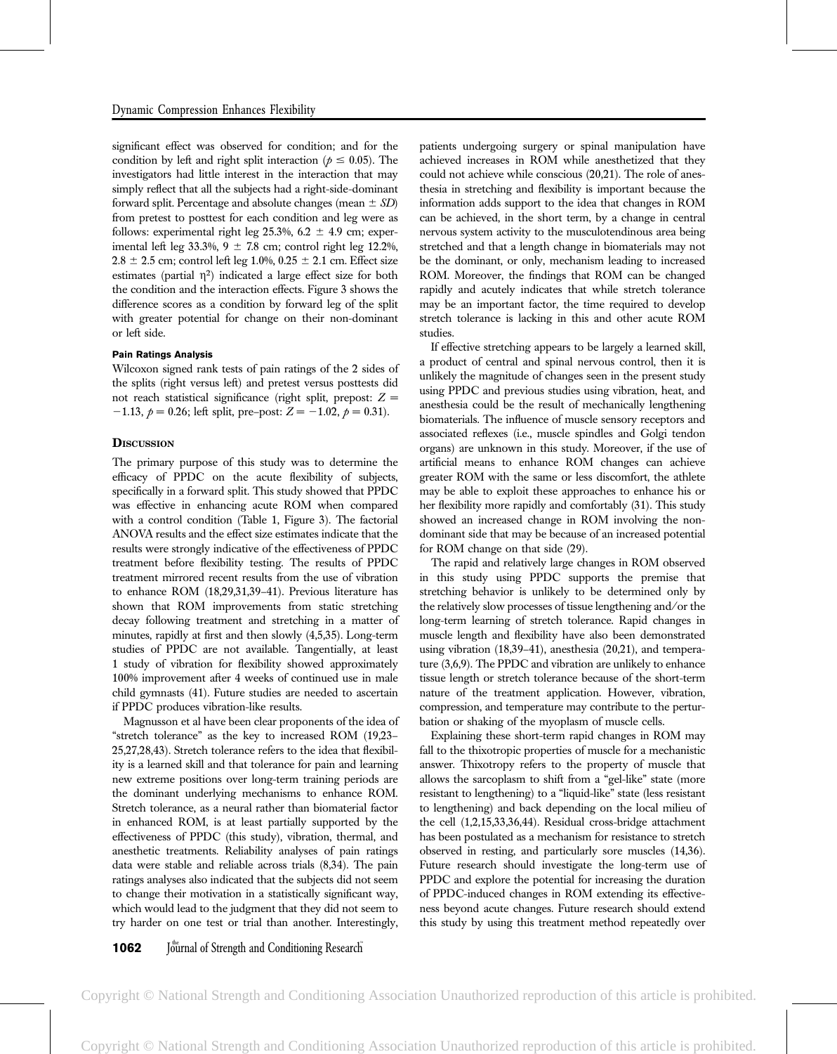significant effect was observed for condition; and for the condition by left and right split interaction ( $p \leq 0.05$ ). The investigators had little interest in the interaction that may simply reflect that all the subjects had a right-side-dominant forward split. Percentage and absolute changes (mean  $\pm$  SD) from pretest to posttest for each condition and leg were as follows: experimental right leg  $25.3\%$ ,  $6.2 \pm 4.9$  cm; experimental left leg 33.3%,  $9 \pm 7.8$  cm; control right leg 12.2%,  $2.8 \pm 2.5$  cm; control left leg 1.0%, 0.25  $\pm$  2.1 cm. Effect size estimates (partial  $\eta^2$ ) indicated a large effect size for both the condition and the interaction effects. Figure 3 shows the difference scores as a condition by forward leg of the split with greater potential for change on their non-dominant or left side.

#### Pain Ratings Analysis

Wilcoxon signed rank tests of pain ratings of the 2 sides of the splits (right versus left) and pretest versus posttests did not reach statistical significance (right split, prepost:  $Z =$  $-1.13$ ,  $p = 0.26$ ; left split, pre–post:  $Z = -1.02$ ,  $p = 0.31$ ).

## **DISCUSSION**

The primary purpose of this study was to determine the efficacy of PPDC on the acute flexibility of subjects, specifically in a forward split. This study showed that PPDC was effective in enhancing acute ROM when compared with a control condition (Table 1, Figure 3). The factorial ANOVA results and the effect size estimates indicate that the results were strongly indicative of the effectiveness of PPDC treatment before flexibility testing. The results of PPDC treatment mirrored recent results from the use of vibration to enhance ROM (18,29,31,39–41). Previous literature has shown that ROM improvements from static stretching decay following treatment and stretching in a matter of minutes, rapidly at first and then slowly (4,5,35). Long-term studies of PPDC are not available. Tangentially, at least 1 study of vibration for flexibility showed approximately 100% improvement after 4 weeks of continued use in male child gymnasts (41). Future studies are needed to ascertain if PPDC produces vibration-like results.

Magnusson et al have been clear proponents of the idea of "stretch tolerance" as the key to increased ROM (19,23– 25,27,28,43). Stretch tolerance refers to the idea that flexibility is a learned skill and that tolerance for pain and learning new extreme positions over long-term training periods are the dominant underlying mechanisms to enhance ROM. Stretch tolerance, as a neural rather than biomaterial factor in enhanced ROM, is at least partially supported by the effectiveness of PPDC (this study), vibration, thermal, and anesthetic treatments. Reliability analyses of pain ratings data were stable and reliable across trials (8,34). The pain ratings analyses also indicated that the subjects did not seem to change their motivation in a statistically significant way, which would lead to the judgment that they did not seem to try harder on one test or trial than another. Interestingly, patients undergoing surgery or spinal manipulation have achieved increases in ROM while anesthetized that they could not achieve while conscious (20,21). The role of anesthesia in stretching and flexibility is important because the information adds support to the idea that changes in ROM can be achieved, in the short term, by a change in central nervous system activity to the musculotendinous area being stretched and that a length change in biomaterials may not be the dominant, or only, mechanism leading to increased ROM. Moreover, the findings that ROM can be changed rapidly and acutely indicates that while stretch tolerance may be an important factor, the time required to develop stretch tolerance is lacking in this and other acute ROM studies.

If effective stretching appears to be largely a learned skill, a product of central and spinal nervous control, then it is unlikely the magnitude of changes seen in the present study using PPDC and previous studies using vibration, heat, and anesthesia could be the result of mechanically lengthening biomaterials. The influence of muscle sensory receptors and associated reflexes (i.e., muscle spindles and Golgi tendon organs) are unknown in this study. Moreover, if the use of artificial means to enhance ROM changes can achieve greater ROM with the same or less discomfort, the athlete may be able to exploit these approaches to enhance his or her flexibility more rapidly and comfortably (31). This study showed an increased change in ROM involving the nondominant side that may be because of an increased potential for ROM change on that side (29).

The rapid and relatively large changes in ROM observed in this study using PPDC supports the premise that stretching behavior is unlikely to be determined only by the relatively slow processes of tissue lengthening and/or the long-term learning of stretch tolerance. Rapid changes in muscle length and flexibility have also been demonstrated using vibration (18,39–41), anesthesia (20,21), and temperature (3,6,9). The PPDC and vibration are unlikely to enhance tissue length or stretch tolerance because of the short-term nature of the treatment application. However, vibration, compression, and temperature may contribute to the perturbation or shaking of the myoplasm of muscle cells.

Explaining these short-term rapid changes in ROM may fall to the thixotropic properties of muscle for a mechanistic answer. Thixotropy refers to the property of muscle that allows the sarcoplasm to shift from a "gel-like" state (more resistant to lengthening) to a "liquid-like" state (less resistant to lengthening) and back depending on the local milieu of the cell (1,2,15,33,36,44). Residual cross-bridge attachment has been postulated as a mechanism for resistance to stretch observed in resting, and particularly sore muscles (14,36). Future research should investigate the long-term use of PPDC and explore the potential for increasing the duration of PPDC-induced changes in ROM extending its effectiveness beyond acute changes. Future research should extend this study by using this treatment method repeatedly over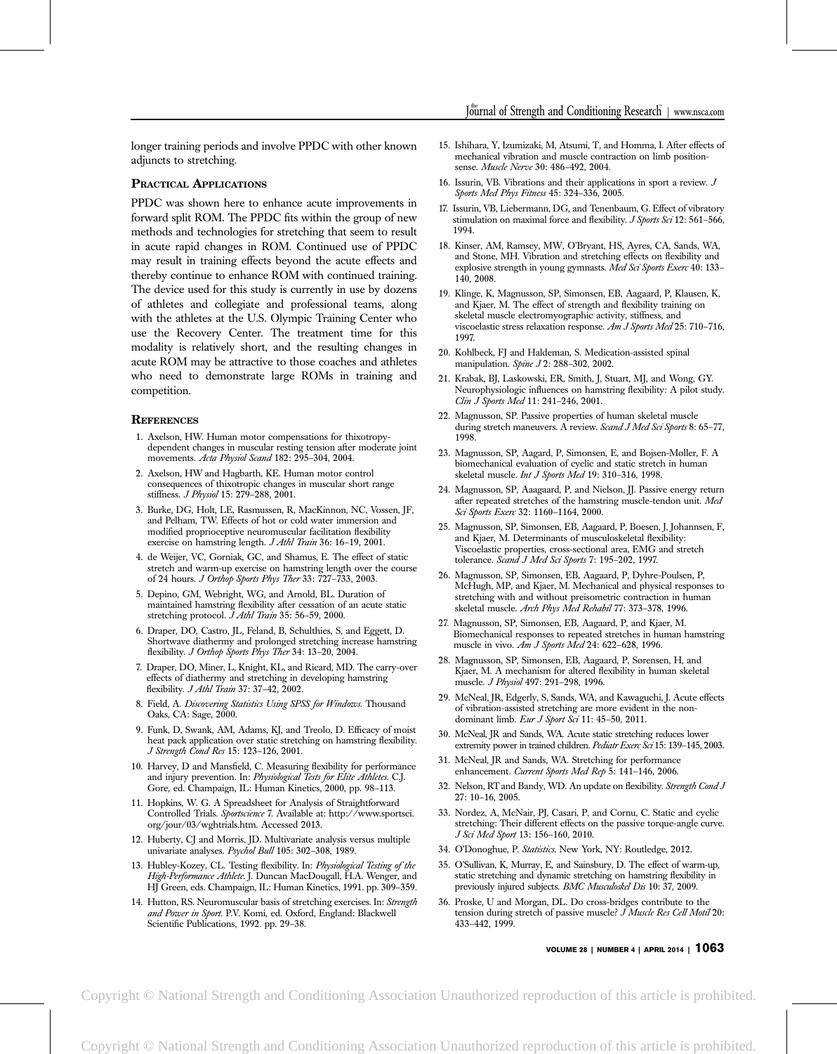longer training periods and involve PPDC with other known adjuncts to stretching.

## PRACTICAL APPLICATIONS

PPDC was shown here to enhance acute improvements in forward split ROM. The PPDC fits within the group of new methods and technologies for stretching that seem to result in acute rapid changes in ROM. Continued use of PPDC may result in training effects beyond the acute effects and thereby continue to enhance ROM with continued training. The device used for this study is currently in use by dozens of athletes and collegiate and professional teams, along with the athletes at the U.S. Olympic Training Center who use the Recovery Center. The treatment time for this modality is relatively short, and the resulting changes in acute ROM may be attractive to those coaches and athletes who need to demonstrate large ROMs in training and competition.

## **REFERENCES**

- 1. Axelson, HW. Human motor compensations for thixotropydependent changes in muscular resting tension after moderate joint movements. Acta Physiol Scand 182: 295-304, 2004.
- 2. Axelson, HW and Hagbarth, KE. Human motor control consequences of thixotropic changes in muscular short range stiffness. J Physiol 15: 279-288, 2001.
- 3. Burke, DG, Holt, LE, Rasmussen, R, MacKinnon, NC, Vossen, JF, and Pelham, TW. Effects of hot or cold water immersion and modified proprioceptive neuromuscular facilitation flexibility exercise on hamstring length. J Athl Train 36: 16-19, 2001.
- 4. de Weijer, VC, Gorniak, GC, and Shamus, E. The effect of static stretch and warm-up exercise on hamstring length over the course of 24 hours. J Orthop Sports Phys Ther 33: 727–733, 2003.
- 5. Depino, GM, Webright, WG, and Arnold, BL. Duration of maintained hamstring flexibility after cessation of an acute static stretching protocol. J Athl Train 35: 56-59, 2000.
- 6. Draper, DO, Castro, JL, Feland, B, Schulthies, S, and Eggett, D. Shortwave diathermy and prolonged stretching increase hamstring flexibility. J Orthop Sports Phys Ther 34: 13-20, 2004.
- 7. Draper, DO, Miner, L, Knight, KL, and Ricard, MD. The carry-over effects of diathermy and stretching in developing hamstring flexibility. J Athl Train 37: 37–42, 2002.
- 8. Field, A. Discovering Statistics Using SPSS for Windows. Thousand Oaks, CA: Sage, 2000.
- 9. Funk, D, Swank, AM, Adams, KJ, and Treolo, D. Efficacy of moist heat pack application over static stretching on hamstring flexibility. J Strength Cond Res 15: 123–126, 2001.
- 10. Harvey, D and Mansfield, C. Measuring flexibility for performance and injury prevention. In: Physiological Tests for Elite Athletes. C.J. Gore, ed. Champaign, IL: Human Kinetics, 2000, pp. 98–113.
- 11. Hopkins, W. G. A Spreadsheet for Analysis of Straightforward Controlled Trials. Sportscience 7. Available at: http://www.sportsci. org/jour/03/wghtrials.htm. Accessed 2013.
- 12. Huberty, CJ and Morris, JD. Multivariate analysis versus multiple univariate analyses. Psychol Bull 105: 302-308, 1989.
- 13. Hubley-Kozey, CL. Testing flexibility. In: Physiological Testing of the High-Performance Athlete. J. Duncan MacDougall, H.A. Wenger, and HJ Green, eds. Champaign, IL: Human Kinetics, 1991. pp. 309–359.
- 14. Hutton, RS. Neuromuscular basis of stretching exercises. In: Strength and Power in Sport. P.V. Komi, ed. Oxford, England: Blackwell Scientific Publications, 1992. pp. 29–38.
- 15. Ishihara, Y, Izumizaki, M, Atsumi, T, and Homma, I. After effects of mechanical vibration and muscle contraction on limb positionsense. Muscle Nerve 30: 486-492, 2004.
- 16. Issurin, VB. Vibrations and their applications in sport a review. J Sports Med Phys Fitness 45: 324-336, 2005.
- 17. Issurin, VB, Liebermann, DG, and Tenenbaum, G. Effect of vibratory stimulation on maximal force and flexibility. J Sports Sci 12: 561-566, 1994.
- 18. Kinser, AM, Ramsey, MW, O'Bryant, HS, Ayres, CA, Sands, WA, and Stone, MH. Vibration and stretching effects on flexibility and explosive strength in young gymnasts. Med Sci Sports Exerc 40: 133-140, 2008.
- 19. Klinge, K, Magnusson, SP, Simonsen, EB, Aagaard, P, Klausen, K, and Kjaer, M. The effect of strength and flexibility training on skeletal muscle electromyographic activity, stiffness, and viscoelastic stress relaxation response. Am J Sports Med 25: 710–716, 1997.
- 20. Kohlbeck, FJ and Haldeman, S. Medication-assisted spinal manipulation. Spine J 2: 288-302, 2002.
- 21. Krabak, BJ, Laskowski, ER, Smith, J, Stuart, MJ, and Wong, GY. Neurophysiologic influences on hamstring flexibility: A pilot study. Clin J Sports Med 11: 241–246, 2001.
- 22. Magnusson, SP. Passive properties of human skeletal muscle during stretch maneuvers. A review. Scand J Med Sci Sports 8: 65-77, 1998.
- 23. Magnusson, SP, Aagard, P, Simonsen, E, and Bojsen-Møller, F. A biomechanical evaluation of cyclic and static stretch in human skeletal muscle. Int J Sports Med 19: 310-316, 1998.
- 24. Magnusson, SP, Aaagaard, P, and Nielson, JJ. Passive energy return after repeated stretches of the hamstring muscle-tendon unit. Med Sci Sports Exerc 32: 1160-1164, 2000.
- 25. Magnusson, SP, Simonsen, EB, Aagaard, P, Boesen, J, Johannsen, F, and Kjaer, M. Determinants of musculoskeletal flexibility: Viscoelastic properties, cross-sectional area, EMG and stretch tolerance. Scand J Med Sci Sports 7: 195-202, 1997.
- 26. Magnusson, SP, Simonsen, EB, Aagaard, P, Dyhre-Poulsen, P, McHugh, MP, and Kjaer, M. Mechanical and physical responses to stretching with and without preisometric contraction in human skeletal muscle. Arch Phys Med Rehabil 77: 373-378, 1996.
- 27. Magnusson, SP, Simonsen, EB, Aagaard, P, and Kjaer, M. Biomechanical responses to repeated stretches in human hamstring muscle in vivo. Am J Sports Med 24: 622–628, 1996.
- 28. Magnusson, SP, Simonsen, EB, Aagaard, P, Sørensen, H, and Kjaer, M. A mechanism for altered flexibility in human skeletal muscle. J Physiol 497: 291-298, 1996.
- 29. McNeal, JR, Edgerly, S, Sands, WA, and Kawaguchi, J. Acute effects of vibration-assisted stretching are more evident in the nondominant limb. Eur J Sport Sci 11: 45-50, 2011.
- 30. McNeal, JR and Sands, WA. Acute static stretching reduces lower extremity power in trained children. Pediatr Exerc Sci 15: 139-145, 2003.
- 31. McNeal, JR and Sands, WA. Stretching for performance enhancement. Current Sports Med Rep 5: 141-146, 2006.
- 32. Nelson, RT and Bandy, WD. An update on flexibility. Strength Cond J 27: 10–16, 2005.
- 33. Nordez, A, McNair, PJ, Casari, P, and Cornu, C. Static and cyclic stretching: Their different effects on the passive torque-angle curve. J Sci Med Sport 13: 156–160, 2010.
- 34. O'Donoghue, P. Statistics. New York, NY: Routledge, 2012.
- 35. O'Sullivan, K, Murray, E, and Sainsbury, D. The effect of warm-up, static stretching and dynamic stretching on hamstring flexibility in previously injured subjects. BMC Musculoskel Dis 10: 37, 2009.
- 36. Proske, U and Morgan, DL. Do cross-bridges contribute to the tension during stretch of passive muscle? J Muscle Res Cell Motil 20: 433–442, 1999.

VOLUME 28 | NUMBER 4 | APRIL 2014 | 1063